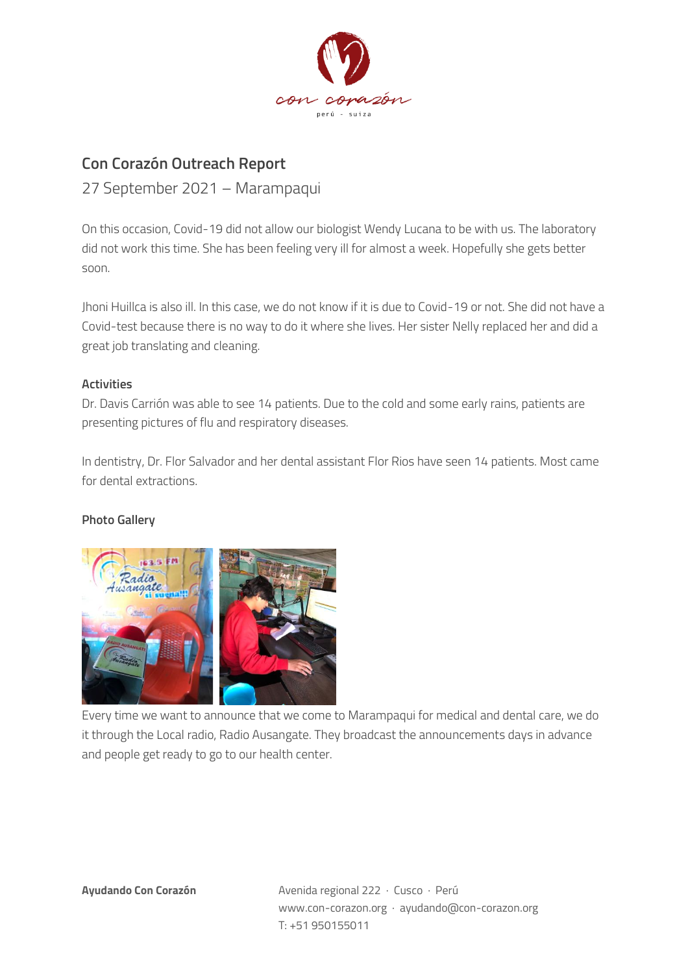

## **Con Corazón Outreach Report**

27 September 2021 – Marampaqui

On this occasion, Covid-19 did not allow our biologist Wendy Lucana to be with us. The laboratory did not work this time. She has been feeling very ill for almost a week. Hopefully she gets better soon.

Jhoni Huillca is also ill. In this case, we do not know if it is due to Covid-19 or not. She did not have a Covid-test because there is no way to do it where she lives. Her sister Nelly replaced her and did a great job translating and cleaning.

## **Activities**

Dr. Davis Carrión was able to see 14 patients. Due to the cold and some early rains, patients are presenting pictures of flu and respiratory diseases.

In dentistry, Dr. Flor Salvador and her dental assistant Flor Rios have seen 14 patients. Most came for dental extractions.

## **Photo Gallery**



Every time we want to announce that we come to Marampaqui for medical and dental care, we do it through the Local radio, Radio Ausangate. They broadcast the announcements days in advance and people get ready to go to our health center.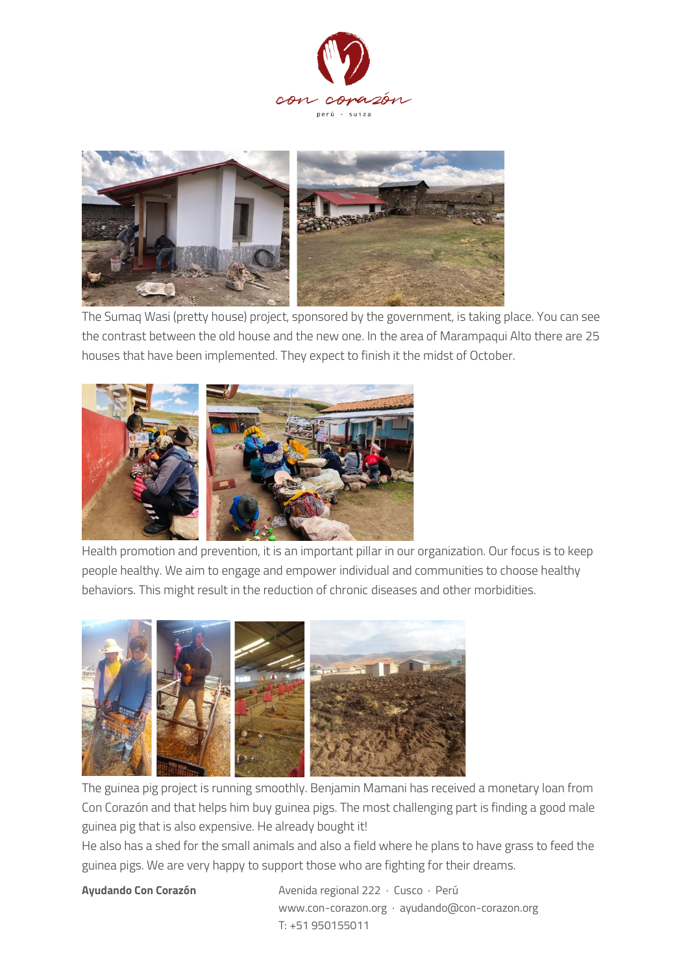



The Sumaq Wasi (pretty house) project, sponsored by the government, is taking place. You can see the contrast between the old house and the new one. In the area of Marampaqui Alto there are 25 houses that have been implemented. They expect to finish it the midst of October.



Health promotion and prevention, it is an important pillar in our organization. Our focus is to keep people healthy. We aim to engage and empower individual and communities to choose healthy behaviors. This might result in the reduction of chronic diseases and other morbidities.



The guinea pig project is running smoothly. Benjamin Mamani has received a monetary loan from Con Corazón and that helps him buy guinea pigs. The most challenging part is finding a good male guinea pig that is also expensive. He already bought it!

He also has a shed for the small animals and also a field where he plans to have grass to feed the guinea pigs. We are very happy to support those who are fighting for their dreams.

**Ayudando Con Corazón** Avenida regional 222 · Cusco · Perú www.con-corazon.org · ayudando@con-corazon.org T: +51 950155011